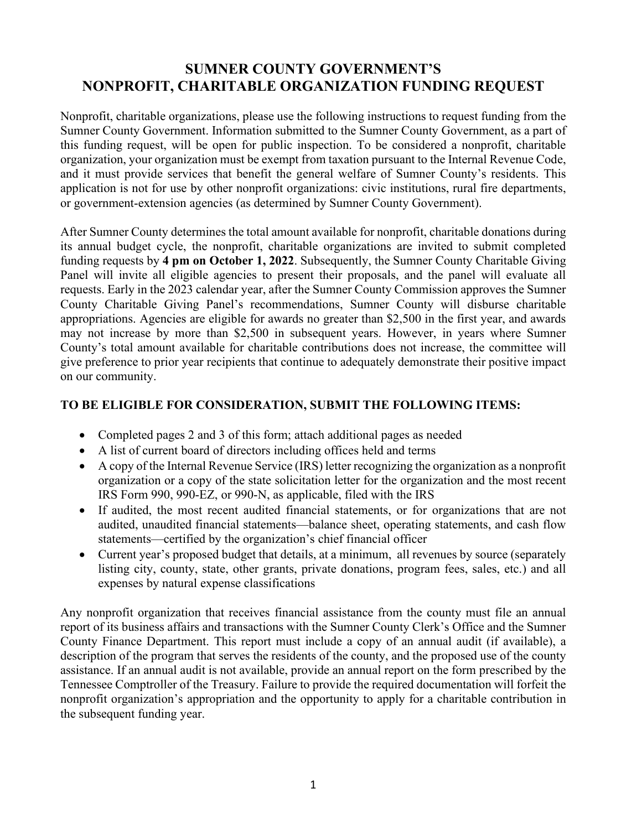## **SUMNER COUNTY GOVERNMENT'S NONPROFIT, CHARITABLE ORGANIZATION FUNDING REQUEST**

Nonprofit, charitable organizations, please use the following instructions to request funding from the Sumner County Government. Information submitted to the Sumner County Government, as a part of this funding request, will be open for public inspection. To be considered a nonprofit, charitable organization, your organization must be exempt from taxation pursuant to the Internal Revenue Code, and it must provide services that benefit the general welfare of Sumner County's residents. This application is not for use by other nonprofit organizations: civic institutions, rural fire departments, or government-extension agencies (as determined by Sumner County Government).

After Sumner County determines the total amount available for nonprofit, charitable donations during its annual budget cycle, the nonprofit, charitable organizations are invited to submit completed funding requests by **4 pm on October 1, 2022**. Subsequently, the Sumner County Charitable Giving Panel will invite all eligible agencies to present their proposals, and the panel will evaluate all requests. Early in the 2023 calendar year, after the Sumner County Commission approves the Sumner County Charitable Giving Panel's recommendations, Sumner County will disburse charitable appropriations. Agencies are eligible for awards no greater than \$2,500 in the first year, and awards may not increase by more than \$2,500 in subsequent years. However, in years where Sumner County's total amount available for charitable contributions does not increase, the committee will give preference to prior year recipients that continue to adequately demonstrate their positive impact on our community.

### **TO BE ELIGIBLE FOR CONSIDERATION, SUBMIT THE FOLLOWING ITEMS:**

- Completed pages 2 and 3 of this form; attach additional pages as needed
- A list of current board of directors including offices held and terms
- A copy of the Internal Revenue Service (IRS) letter recognizing the organization as a nonprofit organization or a copy of the state solicitation letter for the organization and the most recent IRS Form 990, 990-EZ, or 990-N, as applicable, filed with the IRS
- If audited, the most recent audited financial statements, or for organizations that are not audited, unaudited financial statements—balance sheet, operating statements, and cash flow statements—certified by the organization's chief financial officer
- Current year's proposed budget that details, at a minimum, all revenues by source (separately listing city, county, state, other grants, private donations, program fees, sales, etc.) and all expenses by natural expense classifications

Any nonprofit organization that receives financial assistance from the county must file an annual report of its business affairs and transactions with the Sumner County Clerk's Office and the Sumner County Finance Department. This report must include a copy of an annual audit (if available), a description of the program that serves the residents of the county, and the proposed use of the county assistance. If an annual audit is not available, provide an annual report on the form prescribed by the Tennessee Comptroller of the Treasury. Failure to provide the required documentation will forfeit the nonprofit organization's appropriation and the opportunity to apply for a charitable contribution in the subsequent funding year.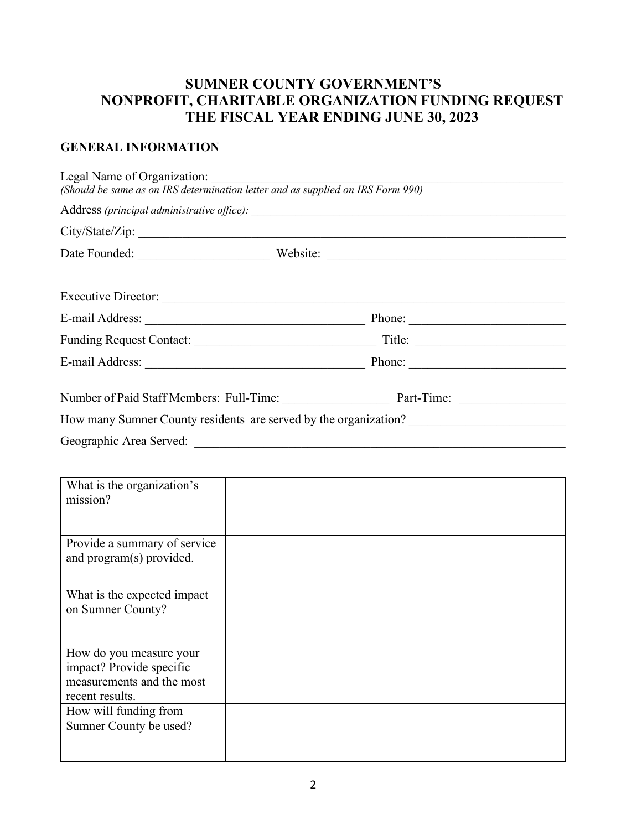# **SUMNER COUNTY GOVERNMENT'S NONPROFIT, CHARITABLE ORGANIZATION FUNDING REQUEST THE FISCAL YEAR ENDING JUNE 30, 2023**

### **GENERAL INFORMATION**

| Legal Name of Organization:<br>(Should be same as on IRS determination letter and as supplied on IRS Form 990) |                                                                                                                                                                                                                                |  |
|----------------------------------------------------------------------------------------------------------------|--------------------------------------------------------------------------------------------------------------------------------------------------------------------------------------------------------------------------------|--|
|                                                                                                                |                                                                                                                                                                                                                                |  |
|                                                                                                                |                                                                                                                                                                                                                                |  |
|                                                                                                                |                                                                                                                                                                                                                                |  |
|                                                                                                                |                                                                                                                                                                                                                                |  |
|                                                                                                                |                                                                                                                                                                                                                                |  |
|                                                                                                                |                                                                                                                                                                                                                                |  |
|                                                                                                                | E-mail Address: Phone: Phone: Phone: Phone: Phone: Phone: Phone: Phone: Phone: Phone: Phone: Phone: Phone: Phone: Phone: Phone: Phone: Phone: Phone: Phone: Phone: Phone: Phone: Phone: Phone: Phone: Phone: Phone: Phone: Pho |  |
|                                                                                                                | Number of Paid Staff Members: Full-Time: Part-Time: Part-Time:                                                                                                                                                                 |  |
|                                                                                                                | How many Sumner County residents are served by the organization?                                                                                                                                                               |  |
| Geographic Area Served:                                                                                        |                                                                                                                                                                                                                                |  |

| What is the organization's<br>mission?                                                              |  |
|-----------------------------------------------------------------------------------------------------|--|
| Provide a summary of service<br>and program(s) provided.                                            |  |
| What is the expected impact<br>on Sumner County?                                                    |  |
| How do you measure your<br>impact? Provide specific<br>measurements and the most<br>recent results. |  |
| How will funding from<br>Sumner County be used?                                                     |  |